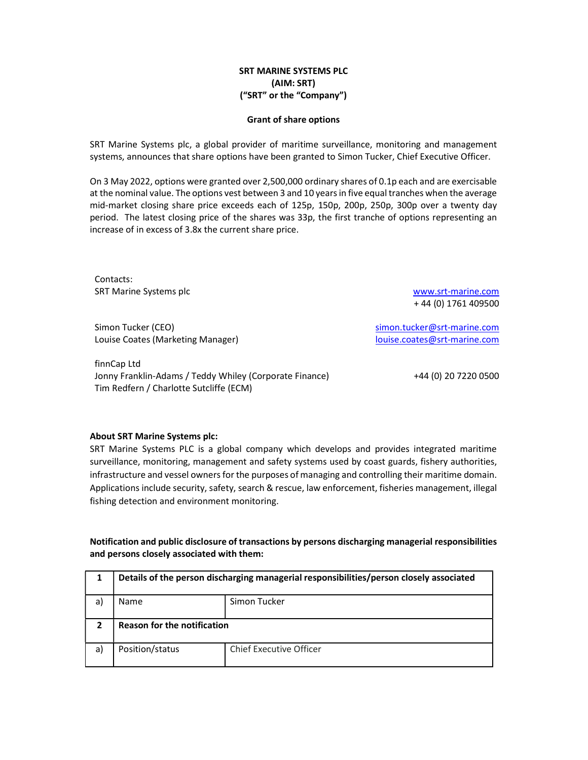## SRT MARINE SYSTEMS PLC (AIM: SRT) ("SRT" or the "Company")

## Grant of share options

SRT Marine Systems plc, a global provider of maritime surveillance, monitoring and management systems, announces that share options have been granted to Simon Tucker, Chief Executive Officer.

On 3 May 2022, options were granted over 2,500,000 ordinary shares of 0.1p each and are exercisable at the nominal value. The options vest between 3 and 10 years in five equal tranches when the average mid-market closing share price exceeds each of 125p, 150p, 200p, 250p, 300p over a twenty day period. The latest closing price of the shares was 33p, the first tranche of options representing an increase of in excess of 3.8x the current share price.

Contacts: SRT Marine Systems plc www.srt-marine.com

Simon Tucker (CEO) Simon.tucker@srt-marine.com Louise Coates (Marketing Manager) louise.coates@srt-marine.com

finnCap Ltd Jonny Franklin-Adams / Teddy Whiley (Corporate Finance) +44 (0) 20 7220 0500 Tim Redfern / Charlotte Sutcliffe (ECM)

+ 44 (0) 1761 409500

## About SRT Marine Systems plc:

SRT Marine Systems PLC is a global company which develops and provides integrated maritime surveillance, monitoring, management and safety systems used by coast guards, fishery authorities, infrastructure and vessel owners for the purposes of managing and controlling their maritime domain. Applications include security, safety, search & rescue, law enforcement, fisheries management, illegal fishing detection and environment monitoring.

Notification and public disclosure of transactions by persons discharging managerial responsibilities and persons closely associated with them:

| 1  | Details of the person discharging managerial responsibilities/person closely associated |                                |
|----|-----------------------------------------------------------------------------------------|--------------------------------|
| a) | Name                                                                                    | Simon Tucker                   |
|    | <b>Reason for the notification</b>                                                      |                                |
| a) | Position/status                                                                         | <b>Chief Executive Officer</b> |